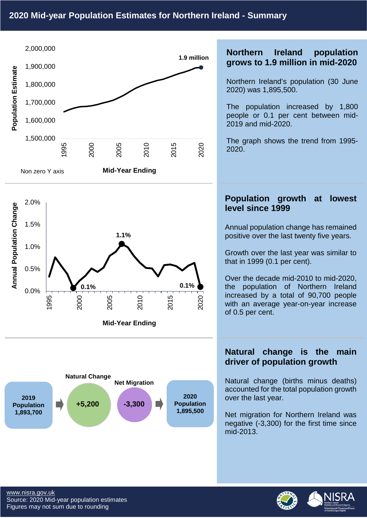





## **Northern Ireland population grows to 1.9 million in mid-2020**

Northern Ireland's population (30 June 2020) was 1,895,500.

The population increased by 1,800 people or 0.1 per cent between mid-2019 and mid-2020.

The graph shows the trend from 1995- 2020.

#### **Population growth at lowest level since 1999**

Annual population change has remained positive over the last twenty five years.

Growth over the last year was similar to that in 1999 (0.1 per cent).

Over the decade mid-2010 to mid-2020, the population of Northern Ireland increased by a total of 90,700 people with an average year-on-year increase of 0.5 per cent.

## **Natural change is the main driver of population growth**

Natural change (births minus deaths) accounted for the total population growth over the last year.

Net migration for Northern Ireland was negative (-3,300) for the first time since mid-2013.



NISI